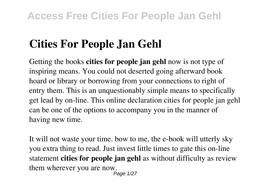# **Cities For People Jan Gehl**

Getting the books **cities for people jan gehl** now is not type of inspiring means. You could not deserted going afterward book hoard or library or borrowing from your connections to right of entry them. This is an unquestionably simple means to specifically get lead by on-line. This online declaration cities for people jan gehl can be one of the options to accompany you in the manner of having new time.

It will not waste your time. bow to me, the e-book will utterly sky you extra thing to read. Just invest little times to gate this on-line statement **cities for people jan gehl** as without difficulty as review them wherever you are now. Page 1/27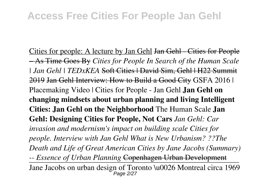Cities for people: A lecture by Jan Gehl Jan Gehl - Cities for People – As Time Goes By *Cities for People In Search of the Human Scale | Jan Gehl | TEDxKEA* Soft Cities | David Sim, Gehl | H22 Summit 2019 Jan Gehl Interview: How to Build a Good City GSFA 2016 | Placemaking Video | Cities for People - Jan Gehl **Jan Gehl on changing mindsets about urban planning and living Intelligent Cities: Jan Gehl on the Neighborhood** The Human Scale **Jan Gehl: Designing Cities for People, Not Cars** *Jan Gehl: Car invasion and modernism's impact on building scale Cities for people. Interview with Jan Gehl What is New Urbanism? ??The Death and Life of Great American Cities by Jane Jacobs (Summary) -- Essence of Urban Planning* Copenhagen Urban Development Jane Jacobs on urban design of Toronto \u0026 Montreal circa 1969 Page 2/27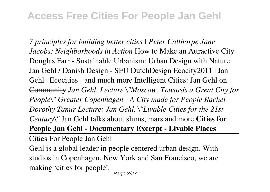*7 principles for building better cities | Peter Calthorpe Jane Jacobs: Neighborhoods in Action* How to Make an Attractive City Douglas Farr - Sustainable Urbanism: Urban Design with Nature Jan Gehl / Danish Design - SFU DutchDesign Ecocity 2011 | Jan Gehl | Ecocities - and much more Intelligent Cities: Jan Gehl on Community *Jan Gehl. Lecture \"Moscow. Towards a Great City for People\" Greater Copenhagen - A City made for People Rachel Dorothy Tanur Lecture: Jan Gehl, \"Livable Cities for the 21st Century\"* Jan Gehl talks about slums, mars and more **Cities for People Jan Gehl - Documentary Excerpt - Livable Places**

Cities For People Jan Gehl

Gehl is a global leader in people centered urban design. With studios in Copenhagen, New York and San Francisco, we are making 'cities for people'.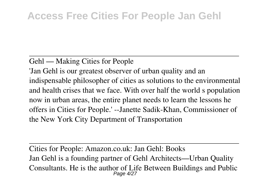#### Gehl — Making Cities for People

'Jan Gehl is our greatest observer of urban quality and an indispensable philosopher of cities as solutions to the environmental and health crises that we face. With over half the world s population now in urban areas, the entire planet needs to learn the lessons he offers in Cities for People.' --Janette Sadik-Khan, Commissioner of the New York City Department of Transportation

Cities for People: Amazon.co.uk: Jan Gehl: Books Jan Gehl is a founding partner of Gehl Architects—Urban Quality Consultants. He is the author of Life Between Buildings and Public<br>  $Page 4/27$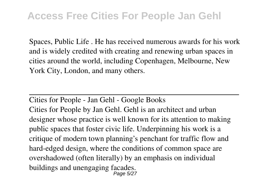Spaces, Public Life . He has received numerous awards for his work and is widely credited with creating and renewing urban spaces in cities around the world, including Copenhagen, Melbourne, New York City, London, and many others.

Cities for People - Jan Gehl - Google Books Cities for People by Jan Gehl. Gehl is an architect and urban designer whose practice is well known for its attention to making public spaces that foster civic life. Underpinning his work is a critique of modern town planning's penchant for traffic flow and hard-edged design, where the conditions of common space are overshadowed (often literally) by an emphasis on individual buildings and unengaging facades. Page 5/27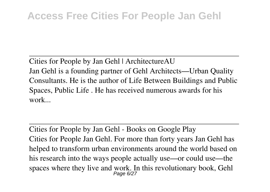Cities for People by Jan Gehl | ArchitectureAU Jan Gehl is a founding partner of Gehl Architects—Urban Quality Consultants. He is the author of Life Between Buildings and Public Spaces, Public Life . He has received numerous awards for his work...

Cities for People by Jan Gehl - Books on Google Play Cities for People Jan Gehl. For more than forty years Jan Gehl has helped to transform urban environments around the world based on his research into the ways people actually use—or could use—the spaces where they live and work. In this revolutionary book, Gehl<br> $P_{\text{age 6/27}}$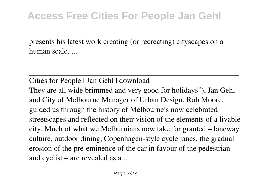presents his latest work creating (or recreating) cityscapes on a human scale. ...

Cities for People | Jan Gehl | download

They are all wide brimmed and very good for holidays"), Jan Gehl and City of Melbourne Manager of Urban Design, Rob Moore, guided us through the history of Melbourne's now celebrated streetscapes and reflected on their vision of the elements of a livable city. Much of what we Melburnians now take for granted – laneway culture, outdoor dining, Copenhagen-style cycle lanes, the gradual erosion of the pre-eminence of the car in favour of the pedestrian and cyclist – are revealed as a ...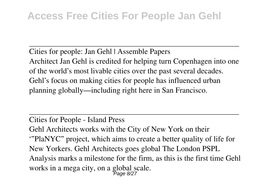Cities for people: Jan Gehl | Assemble Papers Architect Jan Gehl is credited for helping turn Copenhagen into one of the world's most livable cities over the past several decades. Gehl's focus on making cities for people has influenced urban planning globally—including right here in San Francisco.

Cities for People - Island Press

Gehl Architects works with the City of New York on their '"PlaNYC" project, which aims to create a better quality of life for New Yorkers. Gehl Architects goes global The London PSPL Analysis marks a milestone for the firm, as this is the first time Gehl works in a mega city, on a global scale.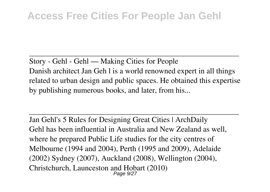Story - Gehl - Gehl — Making Cities for People Danish architect Jan Geh l is a world renowned expert in all things related to urban design and public spaces. He obtained this expertise by publishing numerous books, and later, from his...

Jan Gehl's 5 Rules for Designing Great Cities | ArchDaily Gehl has been influential in Australia and New Zealand as well, where he prepared Public Life studies for the city centres of Melbourne (1994 and 2004), Perth (1995 and 2009), Adelaide (2002) Sydney (2007), Auckland (2008), Wellington (2004), Christchurch, Launceston and Hobart (2010) Page 9/27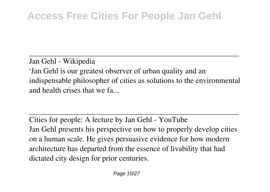Jan Gehl - Wikipedia 'Jan Gehl is our greatest observer of urban quality and an indispensable philosopher of cities as solutions to the environmental and health crises that we fa...

Cities for people: A lecture by Jan Gehl - YouTube Jan Gehl presents his perspective on how to properly develop cities on a human scale. He gives persuasive evidence for how modern architecture has departed from the essence of livability that had dictated city design for prior centuries.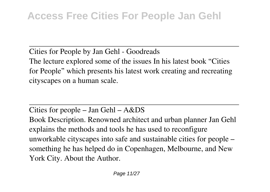Cities for People by Jan Gehl - Goodreads The lecture explored some of the issues In his latest book "Cities for People" which presents his latest work creating and recreating cityscapes on a human scale.

Cities for people – Jan Gehl – A&DS Book Description. Renowned architect and urban planner Jan Gehl explains the methods and tools he has used to reconfigure unworkable cityscapes into safe and sustainable cities for people – something he has helped do in Copenhagen, Melbourne, and New York City. About the Author.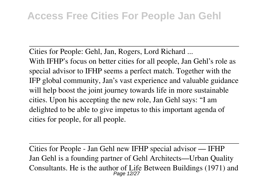Cities for People: Gehl, Jan, Rogers, Lord Richard ... With IFHP's focus on better cities for all people, Jan Gehl's role as special advisor to IFHP seems a perfect match. Together with the IFP global community, Jan's vast experience and valuable guidance will help boost the joint journey towards life in more sustainable cities. Upon his accepting the new role, Jan Gehl says: "I am delighted to be able to give impetus to this important agenda of cities for people, for all people.

Cities for People - Jan Gehl new IFHP special advisor — IFHP Jan Gehl is a founding partner of Gehl Architects—Urban Quality Consultants. He is the author of Life Between Buildings (1971) and Page 12/27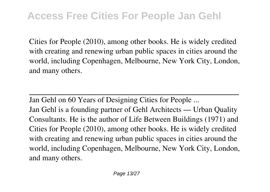Cities for People (2010), among other books. He is widely credited with creating and renewing urban public spaces in cities around the world, including Copenhagen, Melbourne, New York City, London, and many others.

Jan Gehl on 60 Years of Designing Cities for People ...

Jan Gehl is a founding partner of Gehl Architects — Urban Quality Consultants. He is the author of Life Between Buildings (1971) and Cities for People (2010), among other books. He is widely credited with creating and renewing urban public spaces in cities around the world, including Copenhagen, Melbourne, New York City, London, and many others.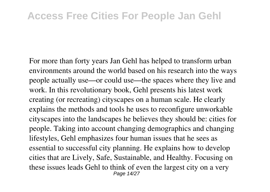For more than forty years Jan Gehl has helped to transform urban environments around the world based on his research into the ways people actually use—or could use—the spaces where they live and work. In this revolutionary book, Gehl presents his latest work creating (or recreating) cityscapes on a human scale. He clearly explains the methods and tools he uses to reconfigure unworkable cityscapes into the landscapes he believes they should be: cities for people. Taking into account changing demographics and changing lifestyles, Gehl emphasizes four human issues that he sees as essential to successful city planning. He explains how to develop cities that are Lively, Safe, Sustainable, and Healthy. Focusing on these issues leads Gehl to think of even the largest city on a very Page 14/27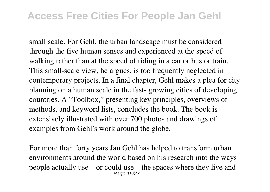small scale. For Gehl, the urban landscape must be considered through the five human senses and experienced at the speed of walking rather than at the speed of riding in a car or bus or train. This small-scale view, he argues, is too frequently neglected in contemporary projects. In a final chapter, Gehl makes a plea for city planning on a human scale in the fast- growing cities of developing countries. A "Toolbox," presenting key principles, overviews of methods, and keyword lists, concludes the book. The book is extensively illustrated with over 700 photos and drawings of examples from Gehl's work around the globe.

For more than forty years Jan Gehl has helped to transform urban environments around the world based on his research into the ways people actually use—or could use—the spaces where they live and Page 15/27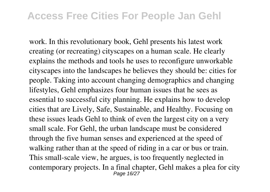work. In this revolutionary book, Gehl presents his latest work creating (or recreating) cityscapes on a human scale. He clearly explains the methods and tools he uses to reconfigure unworkable cityscapes into the landscapes he believes they should be: cities for people. Taking into account changing demographics and changing lifestyles, Gehl emphasizes four human issues that he sees as essential to successful city planning. He explains how to develop cities that are Lively, Safe, Sustainable, and Healthy. Focusing on these issues leads Gehl to think of even the largest city on a very small scale. For Gehl, the urban landscape must be considered through the five human senses and experienced at the speed of walking rather than at the speed of riding in a car or bus or train. This small-scale view, he argues, is too frequently neglected in contemporary projects. In a final chapter, Gehl makes a plea for city Page 16/27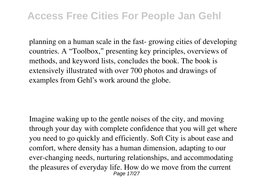planning on a human scale in the fast- growing cities of developing countries. A "Toolbox," presenting key principles, overviews of methods, and keyword lists, concludes the book. The book is extensively illustrated with over 700 photos and drawings of examples from Gehl's work around the globe.

Imagine waking up to the gentle noises of the city, and moving through your day with complete confidence that you will get where you need to go quickly and efficiently. Soft City is about ease and comfort, where density has a human dimension, adapting to our ever-changing needs, nurturing relationships, and accommodating the pleasures of everyday life. How do we move from the current Page 17/27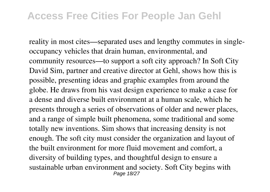reality in most cites—separated uses and lengthy commutes in singleoccupancy vehicles that drain human, environmental, and community resources—to support a soft city approach? In Soft City David Sim, partner and creative director at Gehl, shows how this is possible, presenting ideas and graphic examples from around the globe. He draws from his vast design experience to make a case for a dense and diverse built environment at a human scale, which he presents through a series of observations of older and newer places, and a range of simple built phenomena, some traditional and some totally new inventions. Sim shows that increasing density is not enough. The soft city must consider the organization and layout of the built environment for more fluid movement and comfort, a diversity of building types, and thoughtful design to ensure a sustainable urban environment and society. Soft City begins with Page 18/27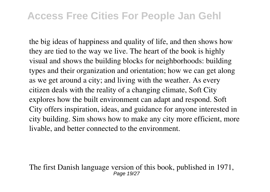the big ideas of happiness and quality of life, and then shows how they are tied to the way we live. The heart of the book is highly visual and shows the building blocks for neighborhoods: building types and their organization and orientation; how we can get along as we get around a city; and living with the weather. As every citizen deals with the reality of a changing climate, Soft City explores how the built environment can adapt and respond. Soft City offers inspiration, ideas, and guidance for anyone interested in city building. Sim shows how to make any city more efficient, more livable, and better connected to the environment.

The first Danish language version of this book, published in 1971, Page 19/27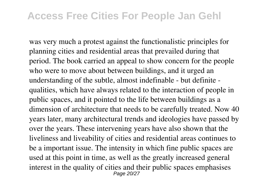was very much a protest against the functionalistic principles for planning cities and residential areas that prevailed during that period. The book carried an appeal to show concern for the people who were to move about between buildings, and it urged an understanding of the subtle, almost indefinable - but definite qualities, which have always related to the interaction of people in public spaces, and it pointed to the life between buildings as a dimension of architecture that needs to be carefully treated. Now 40 years later, many architectural trends and ideologies have passed by over the years. These intervening years have also shown that the liveliness and liveability of cities and residential areas continues to be a important issue. The intensity in which fine public spaces are used at this point in time, as well as the greatly increased general interest in the quality of cities and their public spaces emphasises Page 20/27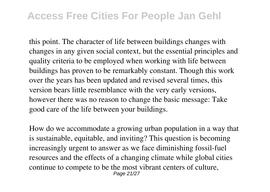this point. The character of life between buildings changes with changes in any given social context, but the essential principles and quality criteria to be employed when working with life between buildings has proven to be remarkably constant. Though this work over the years has been updated and revised several times, this version bears little resemblance with the very early versions, however there was no reason to change the basic message: Take good care of the life between your buildings.

How do we accommodate a growing urban population in a way that is sustainable, equitable, and inviting? This question is becoming increasingly urgent to answer as we face diminishing fossil-fuel resources and the effects of a changing climate while global cities continue to compete to be the most vibrant centers of culture, Page 21/27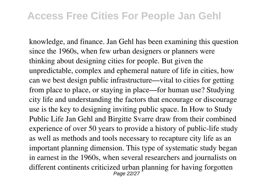knowledge, and finance. Jan Gehl has been examining this question since the 1960s, when few urban designers or planners were thinking about designing cities for people. But given the unpredictable, complex and ephemeral nature of life in cities, how can we best design public infrastructure—vital to cities for getting from place to place, or staying in place—for human use? Studying city life and understanding the factors that encourage or discourage use is the key to designing inviting public space. In How to Study Public Life Jan Gehl and Birgitte Svarre draw from their combined experience of over 50 years to provide a history of public-life study as well as methods and tools necessary to recapture city life as an important planning dimension. This type of systematic study began in earnest in the 1960s, when several researchers and journalists on different continents criticized urban planning for having forgotten Page 22/27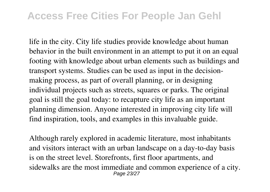life in the city. City life studies provide knowledge about human behavior in the built environment in an attempt to put it on an equal footing with knowledge about urban elements such as buildings and transport systems. Studies can be used as input in the decisionmaking process, as part of overall planning, or in designing individual projects such as streets, squares or parks. The original goal is still the goal today: to recapture city life as an important planning dimension. Anyone interested in improving city life will find inspiration, tools, and examples in this invaluable guide.

Although rarely explored in academic literature, most inhabitants and visitors interact with an urban landscape on a day-to-day basis is on the street level. Storefronts, first floor apartments, and sidewalks are the most immediate and common experience of a city. Page 23/27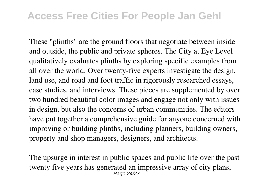These "plinths" are the ground floors that negotiate between inside and outside, the public and private spheres. The City at Eye Level qualitatively evaluates plinths by exploring specific examples from all over the world. Over twenty-five experts investigate the design, land use, and road and foot traffic in rigorously researched essays, case studies, and interviews. These pieces are supplemented by over two hundred beautiful color images and engage not only with issues in design, but also the concerns of urban communities. The editors have put together a comprehensive guide for anyone concerned with improving or building plinths, including planners, building owners, property and shop managers, designers, and architects.

The upsurge in interest in public spaces and public life over the past twenty five years has generated an impressive array of city plans, Page 24/27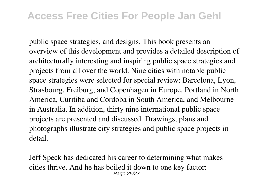public space strategies, and designs. This book presents an overview of this development and provides a detailed description of architecturally interesting and inspiring public space strategies and projects from all over the world. Nine cities with notable public space strategies were selected for special review: Barcelona, Lyon, Strasbourg, Freiburg, and Copenhagen in Europe, Portland in North America, Curitiba and Cordoba in South America, and Melbourne in Australia. In addition, thirty nine international public space projects are presented and discussed. Drawings, plans and photographs illustrate city strategies and public space projects in detail.

Jeff Speck has dedicated his career to determining what makes cities thrive. And he has boiled it down to one key factor: Page 25/27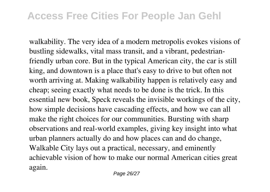walkability. The very idea of a modern metropolis evokes visions of bustling sidewalks, vital mass transit, and a vibrant, pedestrianfriendly urban core. But in the typical American city, the car is still king, and downtown is a place that's easy to drive to but often not worth arriving at. Making walkability happen is relatively easy and cheap; seeing exactly what needs to be done is the trick. In this essential new book, Speck reveals the invisible workings of the city, how simple decisions have cascading effects, and how we can all make the right choices for our communities. Bursting with sharp observations and real-world examples, giving key insight into what urban planners actually do and how places can and do change, Walkable City lays out a practical, necessary, and eminently achievable vision of how to make our normal American cities great again.